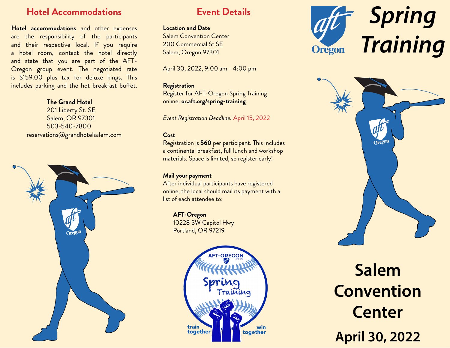# **Hotel Accommodations Event Details**

**Hotel accommodations** and other expenses are the responsibility of the participants and their respective local. If you require a hotel room, contact the hotel directly and state that you are part of the AFT-Oregon group event. The negotiated rate is \$159.00 plus tax for deluxe kings. This includes parking and the hot breakfast buffet.

### **The Grand Hotel**

201 Liberty St. SE Salem, OR 97301 503-540-7800 reservations@grandhotelsalem.com



### **Location and Date**

Salem Convention Center 200 Commercial St SE Salem, Oregon 97301

April 30, 2022, 9:00 am - 4:00 pm

### **Registration**

Register for AFT-Oregon Spring Training online: **or.aft.org/spring-training**

*Event Registration Deadline:* April 15, 2022

### **Cost**

Registration is **\$60** per participant. This includes a continental breakfast, full lunch and workshop materials. Space is limited, so register early!

### **Mail your payment**

After individual participants have registered online, the local should mail its payment with a list of each attendee to:

## **AFT-Oregon**

10228 SW Capitol Hwy Portland, OR 97219